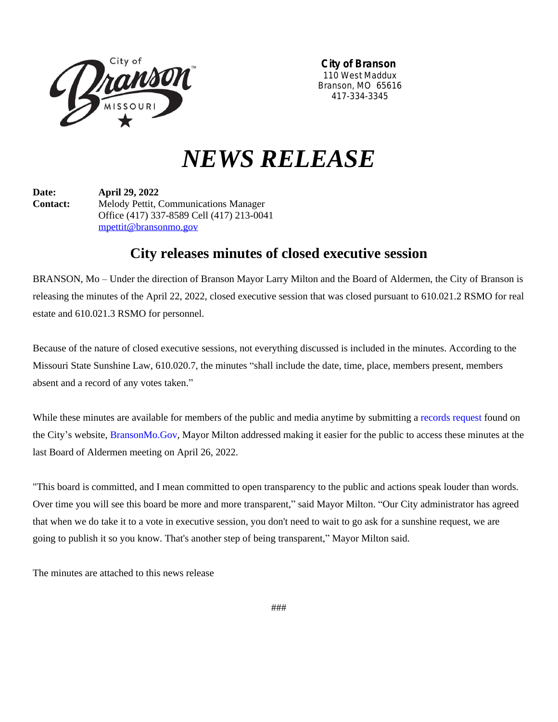

**City of Branson** 110 West Maddux Branson, MO 65616 417-334-3345

# *NEWS RELEASE*

**Date: April 29, 2022 Contact:** Melody Pettit, Communications Manager Office (417) 337-8589 Cell (417) 213-0041 [mpettit@bransonmo.gov](mailto:mpettit@bransonmo.gov)

## **City releases minutes of closed executive session**

BRANSON, Mo – Under the direction of Branson Mayor Larry Milton and the Board of Aldermen, the City of Branson is releasing the minutes of the April 22, 2022, closed executive session that was closed pursuant to 610.021.2 RSMO for real estate and 610.021.3 RSMO for personnel.

Because of the nature of closed executive sessions, not everything discussed is included in the minutes. According to the Missouri State Sunshine Law, 610.020.7, the minutes "shall include the date, time, place, members present, members absent and a record of any votes taken."

While these minutes are available for members of the public and media anytime by submitting a [records request](https://bransonmo.gov/412/Request-for-Records-Form-PDF) found on the City's website, [BransonMo.Gov,](https://bransonmo.gov/) Mayor Milton addressed making it easier for the public to access these minutes at the last Board of Aldermen meeting on April 26, 2022.

"This board is committed, and I mean committed to open transparency to the public and actions speak louder than words. Over time you will see this board be more and more transparent," said Mayor Milton. "Our City administrator has agreed that when we do take it to a vote in executive session, you don't need to wait to go ask for a sunshine request, we are going to publish it so you know. That's another step of being transparent," Mayor Milton said.

The minutes are attached to this news release